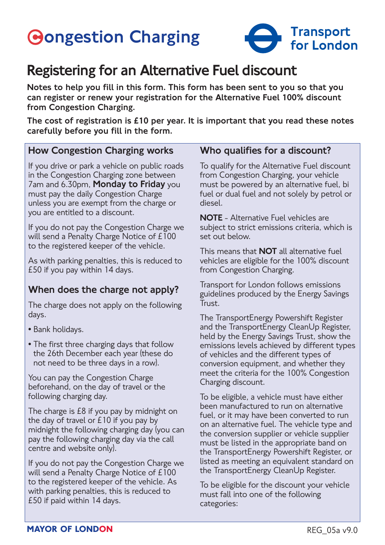# **Gongestion Charging**



# Registering for an Alternative Fuel discount

Notes to help you fill in this form. This form has been sent to you so that you can register or renew your registration for the Alternative Fuel 100% discount from Congestion Charging.

The cost of registration is £10 per year. It is important that you read these notes carefully before you fill in the form.

#### How Congestion Charging works

If you drive or park a vehicle on public roads in the Congestion Charging zone between 7am and 6.30pm, Monday to Friday you must pay the daily Congestion Charge unless you are exempt from the charge or you are entitled to a discount.

If you do not pay the Congestion Charge we will send a Penalty Charge Notice of £100 to the registered keeper of the vehicle.

As with parking penalties, this is reduced to £50 if you pay within 14 days.

#### When does the charge not apply?

The charge does not apply on the following days.

- Bank holidays.
- The first three charging days that follow the 26th December each year (these do not need to be three days in a row).

You can pay the Congestion Charge beforehand, on the day of travel or the following charging day.

The charge is £8 if you pay by midnight on the day of travel or  $£10$  if you pay by midnight the following charging day (you can pay the following charging day via the call centre and website only).

If you do not pay the Congestion Charge we will send a Penalty Charge Notice of £100 to the registered keeper of the vehicle. As with parking penalties, this is reduced to £50 if paid within 14 days.

#### Who qualifies for a discount?

To qualify for the Alternative Fuel discount from Congestion Charging, your vehicle must be powered by an alternative fuel, bi fuel or dual fuel and not solely by petrol or diesel.

NOTE - Alternative Fuel vehicles are subject to strict emissions criteria, which is set out below.

This means that **NOT** all alternative fuel vehicles are eligible for the 100% discount from Congestion Charging.

Transport for London follows emissions guidelines produced by the Energy Savings Trust.

The TransportEnergy Powershift Register and the TransportEnergy CleanUp Register, held by the Energy Savings Trust, show the emissions levels achieved by different types of vehicles and the different types of conversion equipment, and whether they meet the criteria for the 100% Congestion Charging discount.

To be eligible, a vehicle must have either been manufactured to run on alternative fuel, or it may have been converted to run on an alternative fuel. The vehicle type and the conversion supplier or vehicle supplier must be listed in the appropriate band on the TransportEnergy Powershift Register, or listed as meeting an equivalent standard on the TransportEnergy CleanUp Register.

To be eligible for the discount your vehicle must fall into one of the following categories: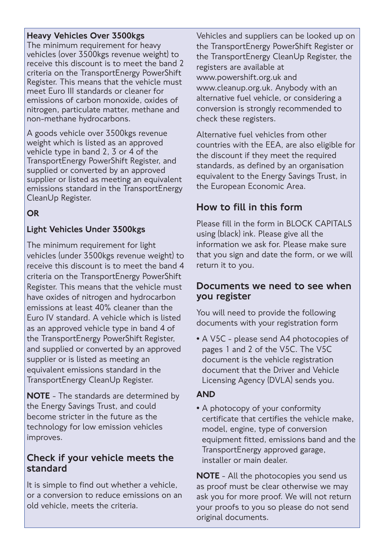#### Heavy Vehicles Over 3500kgs

The minimum requirement for heavy vehicles (over 3500kgs revenue weight) to receive this discount is to meet the band 2 criteria on the TransportEnergy PowerShift Register. This means that the vehicle must meet Euro III standards or cleaner for emissions of carbon monoxide, oxides of nitrogen, particulate matter, methane and non-methane hydrocarbons.

A goods vehicle over 3500kgs revenue weight which is listed as an approved vehicle type in band 2, 3 or 4 of the TransportEnergy PowerShift Register, and supplied or converted by an approved supplier or listed as meeting an equivalent emissions standard in the TransportEnergy CleanUp Register.

#### **OR**

#### Light Vehicles Under 3500kgs

The minimum requirement for light vehicles (under 3500kgs revenue weight) to receive this discount is to meet the band 4 criteria on the TransportEnergy PowerShift Register. This means that the vehicle must have oxides of nitrogen and hydrocarbon emissions at least 40% cleaner than the Euro IV standard. A vehicle which is listed as an approved vehicle type in band 4 of the TransportEnergy PowerShift Register, and supplied or converted by an approved supplier or is listed as meeting an equivalent emissions standard in the TransportEnergy CleanUp Register.

NOTE - The standards are determined by the Energy Savings Trust, and could become stricter in the future as the technology for low emission vehicles improves.

#### Check if your vehicle meets the standard

It is simple to find out whether a vehicle, or a conversion to reduce emissions on an old vehicle, meets the criteria.

Vehicles and suppliers can be looked up on the TransportEnergy PowerShift Register or the TransportEnergy CleanUp Register, the registers are available at www.powershift.org.uk and www.cleanup.org.uk. Anybody with an alternative fuel vehicle, or considering a conversion is strongly recommended to check these registers.

Alternative fuel vehicles from other countries with the EEA, are also eligible for the discount if they meet the required standards, as defined by an organisation equivalent to the Energy Savings Trust, in the European Economic Area.

#### How to fill in this form

Please fill in the form in BLOCK CAPITALS using (black) ink. Please give all the information we ask for. Please make sure that you sign and date the form, or we will return it to you.

#### Documents we need to see when you register

You will need to provide the following documents with your registration form

• A V5C - please send A4 photocopies of pages 1 and 2 of the V5C. The V5C document is the vehicle registration document that the Driver and Vehicle Licensing Agency (DVLA) sends you.

#### AND

• A photocopy of your conformity certificate that certifies the vehicle make, model, engine, type of conversion equipment fitted, emissions band and the TransportEnergy approved garage, installer or main dealer.

**NOTE** - All the photocopies you send us as proof must be clear otherwise we may ask you for more proof. We will not return your proofs to you so please do not send original documents.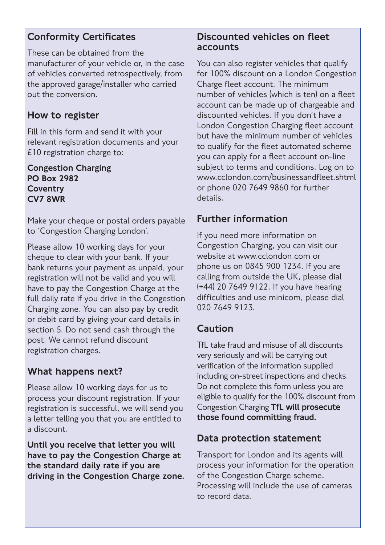#### Conformity Certificates

These can be obtained from the manufacturer of your vehicle or, in the case of vehicles converted retrospectively, from the approved garage/installer who carried out the conversion.

#### How to register

Fill in this form and send it with your relevant registration documents and your £10 registration charge to:

Congestion Charging PO Box 2982 **Coventry** CV7 8WR

Make your cheque or postal orders payable to 'Congestion Charging London'.

Please allow 10 working days for your cheque to clear with your bank. If your bank returns your payment as unpaid, your registration will not be valid and you will have to pay the Congestion Charge at the full daily rate if you drive in the Congestion Charging zone. You can also pay by credit or debit card by giving your card details in section 5. Do not send cash through the post. We cannot refund discount registration charges.

### What happens next?

Please allow 10 working days for us to process your discount registration. If your registration is successful, we will send you a letter telling you that you are entitled to a discount.

Until you receive that letter you will have to pay the Congestion Charge at the standard daily rate if you are driving in the Congestion Charge zone.

#### Discounted vehicles on fleet accounts

You can also register vehicles that qualify for 100% discount on a London Congestion Charge fleet account. The minimum number of vehicles (which is ten) on a fleet account can be made up of chargeable and discounted vehicles. If you don't have a London Congestion Charging fleet account but have the minimum number of vehicles to qualify for the fleet automated scheme you can apply for a fleet account on-line subject to terms and conditions. Log on to www.cclondon.com/businessandfleet.shtml or phone 020 7649 9860 for further details.

#### Further information

If you need more information on Congestion Charging, you can visit our website at www.cclondon.com or phone us on 0845 900 1234. If you are calling from outside the UK, please dial (+44) 20 7649 9122. If you have hearing difficulties and use minicom, please dial 020 7649 9123.

#### Caution

TfL take fraud and misuse of all discounts very seriously and will be carrying out verification of the information supplied including on-street inspections and checks. Do not complete this form unless you are eligible to qualify for the 100% discount from Congestion Charging TfL will prosecute those found committing fraud.

#### Data protection statement

Transport for London and its agents will process your information for the operation of the Congestion Charge scheme. Processing will include the use of cameras to record data.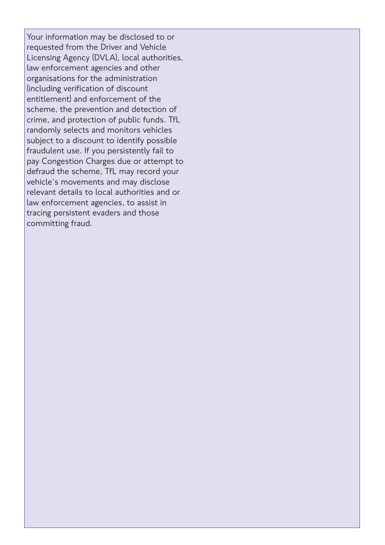Your information may be disclosed to or requested from the Driver and Vehicle Licensing Agency (DVLA), local authorities, law enforcement agencies and other organisations for the administration (including verification of discount entitlement) and enforcement of the scheme, the prevention and detection of crime, and protection of public funds. TfL randomly selects and monitors vehicles subject to a discount to identify possible fraudulent use. If you persistently fail to pay Congestion Charges due or attempt to defraud the scheme, TfL may record your vehicle's movements and may disclose relevant details to local authorities and or law enforcement agencies, to assist in tracing persistent evaders and those committing fraud.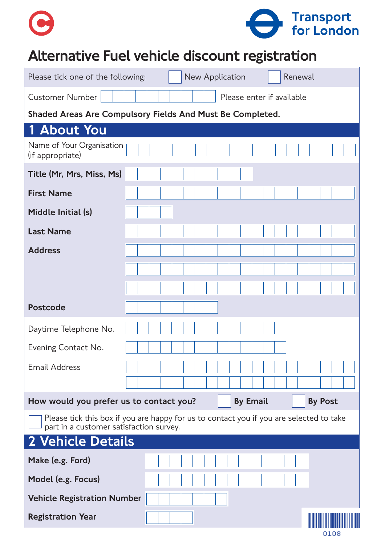

# Alternative Fuel vehicle discount registration

| Please tick one of the following:                                                                                                  |  | New Application |                           | Renewal |  |
|------------------------------------------------------------------------------------------------------------------------------------|--|-----------------|---------------------------|---------|--|
| <b>Customer Number</b>                                                                                                             |  |                 | Please enter if available |         |  |
| Shaded Areas Are Compulsory Fields And Must Be Completed.                                                                          |  |                 |                           |         |  |
| <b>About You</b><br>1                                                                                                              |  |                 |                           |         |  |
| Name of Your Organisation<br>(if appropriate)                                                                                      |  |                 |                           |         |  |
| Title (Mr, Mrs, Miss, Ms)                                                                                                          |  |                 |                           |         |  |
| <b>First Name</b>                                                                                                                  |  |                 |                           |         |  |
| Middle Initial (s)                                                                                                                 |  |                 |                           |         |  |
| <b>Last Name</b>                                                                                                                   |  |                 |                           |         |  |
| <b>Address</b>                                                                                                                     |  |                 |                           |         |  |
|                                                                                                                                    |  |                 |                           |         |  |
|                                                                                                                                    |  |                 |                           |         |  |
| <b>Postcode</b>                                                                                                                    |  |                 |                           |         |  |
| Daytime Telephone No.                                                                                                              |  |                 |                           |         |  |
| Evening Contact No.                                                                                                                |  |                 |                           |         |  |
| <b>Email Address</b>                                                                                                               |  |                 |                           |         |  |
| <b>By Email</b><br>How would you prefer us to contact you?<br><b>By Post</b>                                                       |  |                 |                           |         |  |
| Please tick this box if you are happy for us to contact you if you are selected to take<br>part in a customer satisfaction survey. |  |                 |                           |         |  |
| <b>2 Vehicle Details</b>                                                                                                           |  |                 |                           |         |  |
| Make (e.g. Ford)                                                                                                                   |  |                 |                           |         |  |
| Model (e.g. Focus)                                                                                                                 |  |                 |                           |         |  |
| <b>Vehicle Registration Number</b>                                                                                                 |  |                 |                           |         |  |
| <b>Registration Year</b>                                                                                                           |  |                 |                           | 0108    |  |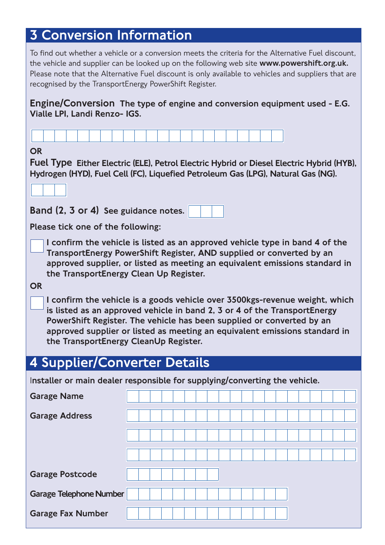# 3 Conversion Information

To find out whether a vehicle or a conversion meets the criteria for the Alternative Fuel discount, the vehicle and supplier can be looked up on the following web site www.powershift.org.uk. Please note that the Alternative Fuel discount is only available to vehicles and suppliers that are recognised by the TransportEnergy PowerShift Register.

Engine/Conversion The type of engine and conversion equipment used - E.G. Vialle LPI, Landi Renzo- IGS.

| <b>OR</b><br>Fuel Type Either Electric (ELE), Petrol Electric Hybrid or Diesel Electric Hybrid (HYB),<br>Hydrogen (HYD), Fuel Cell (FC), Liquefied Petroleum Gas (LPG), Natural Gas (NG).                                                                                                                                                                                                                                                                                                                                                                                                                                                              |                                                                            |  |  |  |  |  |
|--------------------------------------------------------------------------------------------------------------------------------------------------------------------------------------------------------------------------------------------------------------------------------------------------------------------------------------------------------------------------------------------------------------------------------------------------------------------------------------------------------------------------------------------------------------------------------------------------------------------------------------------------------|----------------------------------------------------------------------------|--|--|--|--|--|
| Band (2, 3 or 4) See guidance notes.                                                                                                                                                                                                                                                                                                                                                                                                                                                                                                                                                                                                                   |                                                                            |  |  |  |  |  |
| Please tick one of the following:                                                                                                                                                                                                                                                                                                                                                                                                                                                                                                                                                                                                                      |                                                                            |  |  |  |  |  |
| I confirm the vehicle is listed as an approved vehicle type in band 4 of the<br>TransportEnergy PowerShift Register, AND supplied or converted by an<br>approved supplier, or listed as meeting an equivalent emissions standard in<br>the TransportEnergy Clean Up Register.<br><b>OR</b><br>I confirm the vehicle is a goods vehicle over 3500kgs-revenue weight, which<br>is listed as an approved vehicle in band 2, 3 or 4 of the TransportEnergy<br>PowerShift Register. The vehicle has been supplied or converted by an<br>approved supplier or listed as meeting an equivalent emissions standard in<br>the TransportEnergy CleanUp Register. |                                                                            |  |  |  |  |  |
| 4 Supplier/Converter Details                                                                                                                                                                                                                                                                                                                                                                                                                                                                                                                                                                                                                           |                                                                            |  |  |  |  |  |
|                                                                                                                                                                                                                                                                                                                                                                                                                                                                                                                                                                                                                                                        | Installer or main dealer responsible for supplying/converting the vehicle. |  |  |  |  |  |
| <b>Garage Name</b>                                                                                                                                                                                                                                                                                                                                                                                                                                                                                                                                                                                                                                     |                                                                            |  |  |  |  |  |
| <b>Garage Address</b>                                                                                                                                                                                                                                                                                                                                                                                                                                                                                                                                                                                                                                  |                                                                            |  |  |  |  |  |
|                                                                                                                                                                                                                                                                                                                                                                                                                                                                                                                                                                                                                                                        |                                                                            |  |  |  |  |  |
|                                                                                                                                                                                                                                                                                                                                                                                                                                                                                                                                                                                                                                                        |                                                                            |  |  |  |  |  |
|                                                                                                                                                                                                                                                                                                                                                                                                                                                                                                                                                                                                                                                        |                                                                            |  |  |  |  |  |
| <b>Garage Postcode</b>                                                                                                                                                                                                                                                                                                                                                                                                                                                                                                                                                                                                                                 |                                                                            |  |  |  |  |  |
| <b>Garage Telephone Number</b>                                                                                                                                                                                                                                                                                                                                                                                                                                                                                                                                                                                                                         |                                                                            |  |  |  |  |  |
| <b>Garage Fax Number</b>                                                                                                                                                                                                                                                                                                                                                                                                                                                                                                                                                                                                                               |                                                                            |  |  |  |  |  |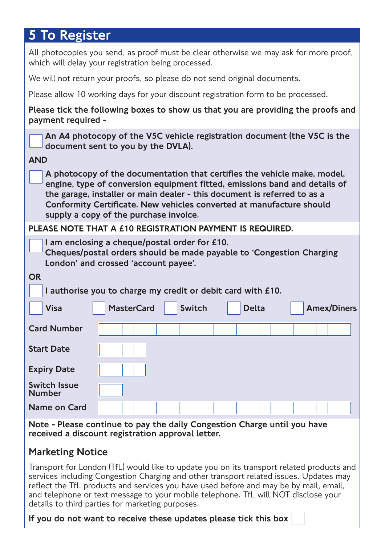# 5 To Register

All photocopies you send, as proof must be clear otherwise we may ask for more proof, which will delay your registration being processed.

We will not return your proofs, so please do not send original documents.

Please allow 10 working days for your discount registration form to be processed.

Please tick the following boxes to show us that you are providing the proofs and payment required -

An A4 photocopy of the V5C vehicle registration document (the V5C is the document sent to you by the DVLA).

#### AND

A photocopy of the documentation that certifies the vehicle make, model, engine, type of conversion equipment fitted, emissions band and details of the garage, installer or main dealer - this document is referred to as a Conformity Certificate. New vehicles converted at manufacture should supply a copy of the purchase invoice.

#### PLEASE NOTE THAT A £10 REGISTRATION PAYMENT IS REQUIRED.

| I am enclosing a cheque/postal order for £10.<br>Cheques/postal orders should be made payable to 'Congestion Charging<br>London' and crossed 'account payee'. |                   |               |              |                    |  |
|---------------------------------------------------------------------------------------------------------------------------------------------------------------|-------------------|---------------|--------------|--------------------|--|
| <b>OR</b>                                                                                                                                                     |                   |               |              |                    |  |
| I authorise you to charge my credit or debit card with £10.                                                                                                   |                   |               |              |                    |  |
| <b>Visa</b>                                                                                                                                                   | <b>MasterCard</b> | <b>Switch</b> | <b>Delta</b> | <b>Amex/Diners</b> |  |
| <b>Card Number</b>                                                                                                                                            |                   |               |              |                    |  |
| <b>Start Date</b>                                                                                                                                             |                   |               |              |                    |  |
| <b>Expiry Date</b>                                                                                                                                            |                   |               |              |                    |  |
| <b>Switch Issue</b><br><b>Number</b>                                                                                                                          |                   |               |              |                    |  |
| Name on Card                                                                                                                                                  |                   |               |              |                    |  |

Note - Please continue to pay the daily Congestion Charge until you have received a discount registration approval letter.

#### Marketing Notice

Transport for London (TfL) would like to update you on its transport related products and services including Congestion Charging and other transport related issues. Updates may reflect the TfL products and services you have used before and may be by mail, email, and telephone or text message to your mobile telephone. TfL will NOT disclose your details to third parties for marketing purposes.

If you do not want to receive these updates please tick this box